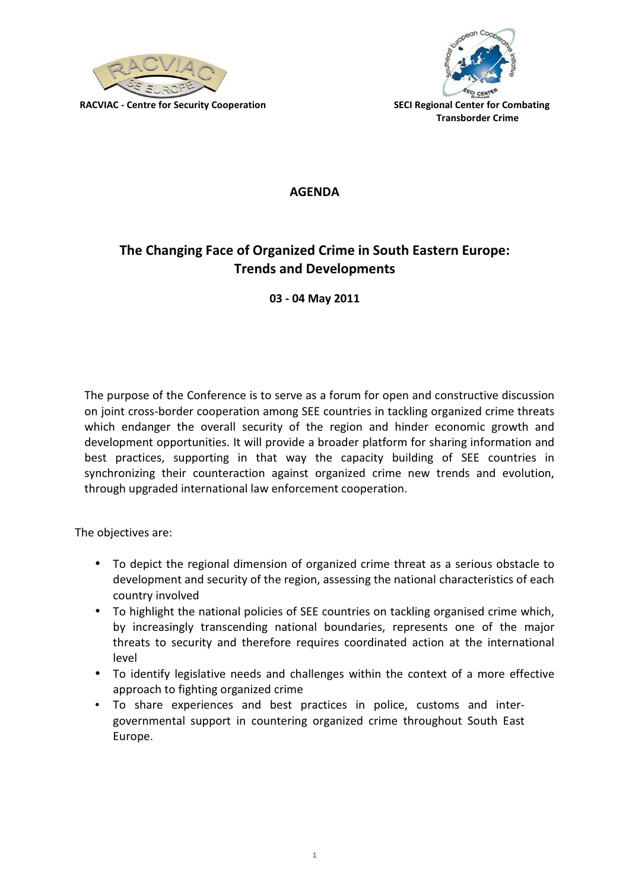



AGENDA

## The Changing Face of Organized Crime in South Eastern Europe: Trends and Developments

03 - 04 May 2011

The purpose of the Conference is to serve as a forum for open and constructive discussion on joint cross-border cooperation among SEE countries in tackling organized crime threats which endanger the overall security of the region and hinder economic growth and development opportunities. It will provide a broader platform for sharing information and best practices, supporting in that way the capacity building of SEE countries in synchronizing their counteraction against organized crime new trends and evolution, through upgraded international law enforcement cooperation.

The objectives are:

- To depict the regional dimension of organized crime threat as a serious obstacle to development and security of the region, assessing the national characteristics of each country involved
- To highlight the national policies of SEE countries on tackling organised crime which, by increasingly transcending national boundaries, represents one of the major threats to security and therefore requires coordinated action at the international level
- To identify legislative needs and challenges within the context of a more effective approach to fighting organized crime
- To share experiences and best practices in police, customs and intergovernmental support in countering organized crime throughout South East Europe.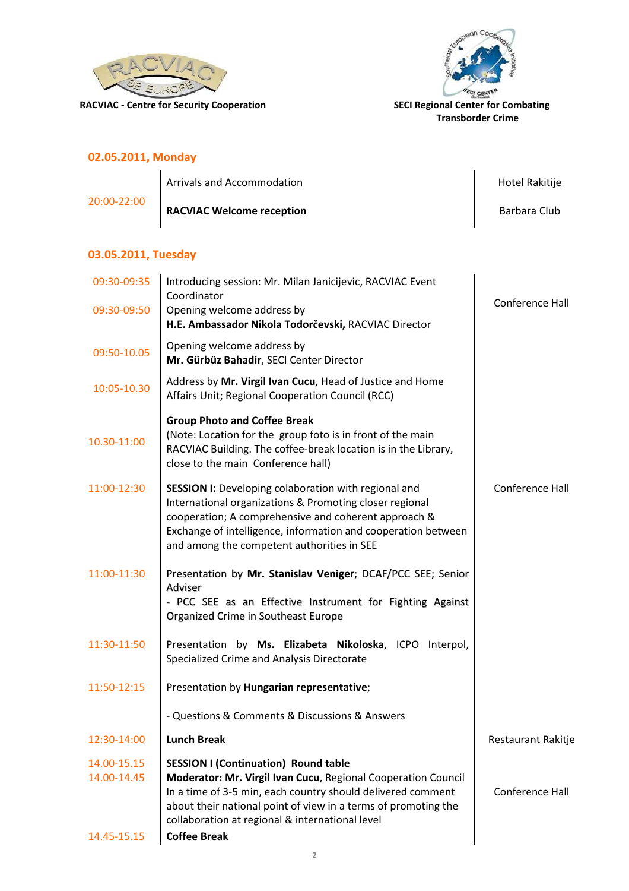



Transborder Crime

### 02.05.2011, Monday

|                 | Arrivals and Accommodation       | Hotel Rakitije |
|-----------------|----------------------------------|----------------|
| $20:00 - 22:00$ | <b>RACVIAC Welcome reception</b> | Barbara Club   |

### 03.05.2011, Tuesday

| 09:30-09:35                | Introducing session: Mr. Milan Janicijevic, RACVIAC Event                                                                                                                                                                                                                                        |                    |
|----------------------------|--------------------------------------------------------------------------------------------------------------------------------------------------------------------------------------------------------------------------------------------------------------------------------------------------|--------------------|
| 09:30-09:50                | Coordinator<br>Opening welcome address by<br>H.E. Ambassador Nikola Todorčevski, RACVIAC Director                                                                                                                                                                                                | Conference Hall    |
| 09:50-10.05                | Opening welcome address by<br>Mr. Gürbüz Bahadir, SECI Center Director                                                                                                                                                                                                                           |                    |
| 10:05-10.30                | Address by Mr. Virgil Ivan Cucu, Head of Justice and Home<br>Affairs Unit; Regional Cooperation Council (RCC)                                                                                                                                                                                    |                    |
| 10.30-11:00                | <b>Group Photo and Coffee Break</b><br>(Note: Location for the group foto is in front of the main<br>RACVIAC Building. The coffee-break location is in the Library,<br>close to the main Conference hall)                                                                                        |                    |
| 11:00-12:30                | <b>SESSION I:</b> Developing colaboration with regional and<br>International organizations & Promoting closer regional<br>cooperation; A comprehensive and coherent approach &<br>Exchange of intelligence, information and cooperation between<br>and among the competent authorities in SEE    | Conference Hall    |
| 11:00-11:30                | Presentation by Mr. Stanislav Veniger; DCAF/PCC SEE; Senior<br>Adviser<br>- PCC SEE as an Effective Instrument for Fighting Against<br>Organized Crime in Southeast Europe                                                                                                                       |                    |
| 11:30-11:50                | Presentation by Ms. Elizabeta Nikoloska, ICPO Interpol,<br>Specialized Crime and Analysis Directorate                                                                                                                                                                                            |                    |
| 11:50-12:15                | Presentation by Hungarian representative;                                                                                                                                                                                                                                                        |                    |
|                            | - Questions & Comments & Discussions & Answers                                                                                                                                                                                                                                                   |                    |
| 12:30-14:00                | <b>Lunch Break</b>                                                                                                                                                                                                                                                                               | Restaurant Rakitje |
| 14.00-15.15<br>14.00-14.45 | <b>SESSION I (Continuation) Round table</b><br>Moderator: Mr. Virgil Ivan Cucu, Regional Cooperation Council<br>In a time of 3-5 min, each country should delivered comment<br>about their national point of view in a terms of promoting the<br>collaboration at regional & international level | Conference Hall    |
| 14.45-15.15                | <b>Coffee Break</b>                                                                                                                                                                                                                                                                              |                    |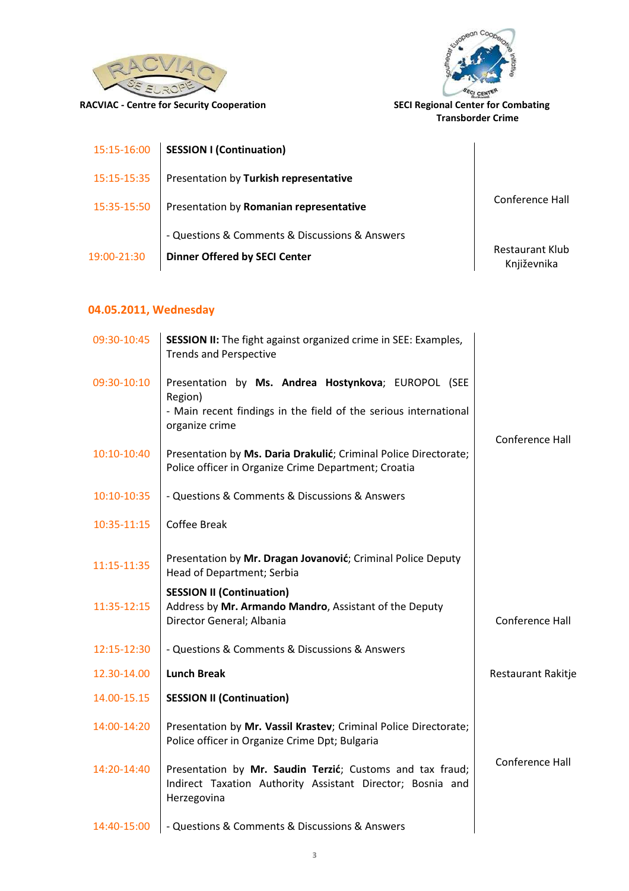



Transborder Crime

| 15:15-16:00 | <b>SESSION I (Continuation)</b>                                                        |                                       |
|-------------|----------------------------------------------------------------------------------------|---------------------------------------|
| 15:15-15:35 | Presentation by Turkish representative                                                 |                                       |
| 15:35-15:50 | Presentation by Romanian representative                                                | Conference Hall                       |
| 19:00-21:30 | - Questions & Comments & Discussions & Answers<br><b>Dinner Offered by SECI Center</b> | <b>Restaurant Klub</b><br>Književnika |

# 04.05.2011, Wednesday

| 09:30-10:45 | <b>SESSION II:</b> The fight against organized crime in SEE: Examples,<br><b>Trends and Perspective</b>                                              |                           |
|-------------|------------------------------------------------------------------------------------------------------------------------------------------------------|---------------------------|
| 09:30-10:10 | Presentation by Ms. Andrea Hostynkova; EUROPOL (SEE<br>Region)<br>- Main recent findings in the field of the serious international<br>organize crime | Conference Hall           |
| 10:10-10:40 | Presentation by Ms. Daria Drakulić; Criminal Police Directorate;<br>Police officer in Organize Crime Department; Croatia                             |                           |
| 10:10-10:35 | - Questions & Comments & Discussions & Answers                                                                                                       |                           |
| 10:35-11:15 | <b>Coffee Break</b>                                                                                                                                  |                           |
| 11:15-11:35 | Presentation by Mr. Dragan Jovanović; Criminal Police Deputy<br>Head of Department; Serbia                                                           |                           |
| 11:35-12:15 | <b>SESSION II (Continuation)</b><br>Address by Mr. Armando Mandro, Assistant of the Deputy<br>Director General; Albania                              | Conference Hall           |
| 12:15-12:30 | - Questions & Comments & Discussions & Answers                                                                                                       |                           |
| 12.30-14.00 | <b>Lunch Break</b>                                                                                                                                   | <b>Restaurant Rakitje</b> |
| 14.00-15.15 | <b>SESSION II (Continuation)</b>                                                                                                                     |                           |
| 14:00-14:20 | Presentation by Mr. Vassil Krastev; Criminal Police Directorate;<br>Police officer in Organize Crime Dpt; Bulgaria                                   |                           |
| 14:20-14:40 | Presentation by Mr. Saudin Terzić; Customs and tax fraud;<br>Indirect Taxation Authority Assistant Director; Bosnia and<br>Herzegovina               | Conference Hall           |
| 14:40-15:00 | - Questions & Comments & Discussions & Answers                                                                                                       |                           |